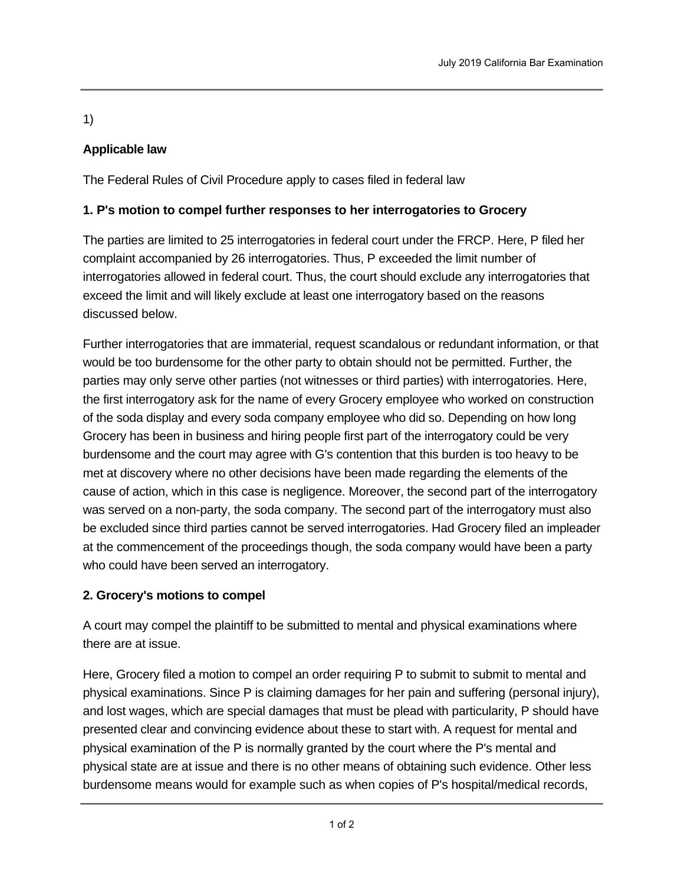1)

# **Applicable law**

The Federal Rules of Civil Procedure apply to cases filed in federal law

## **1. P's motion to compel further responses to her interrogatories to Grocery**

The parties are limited to 25 interrogatories in federal court under the FRCP. Here, P filed her complaint accompanied by 26 interrogatories. Thus, P exceeded the limit number of interrogatories allowed in federal court. Thus, the court should exclude any interrogatories that exceed the limit and will likely exclude at least one interrogatory based on the reasons discussed below.

Further interrogatories that are immaterial, request scandalous or redundant information, or that would be too burdensome for the other party to obtain should not be permitted. Further, the parties may only serve other parties (not witnesses or third parties) with interrogatories. Here, the first interrogatory ask for the name of every Grocery employee who worked on construction of the soda display and every soda company employee who did so. Depending on how long Grocery has been in business and hiring people first part of the interrogatory could be very burdensome and the court may agree with G's contention that this burden is too heavy to be met at discovery where no other decisions have been made regarding the elements of the cause of action, which in this case is negligence. Moreover, the second part of the interrogatory was served on a non-party, the soda company. The second part of the interrogatory must also be excluded since third parties cannot be served interrogatories. Had Grocery filed an impleader at the commencement of the proceedings though, the soda company would have been a party who could have been served an interrogatory.

## **2. Grocery's motions to compel**

A court may compel the plaintiff to be submitted to mental and physical examinations where there are at issue.

Here, Grocery filed a motion to compel an order requiring P to submit to submit to mental and physical examinations. Since P is claiming damages for her pain and suffering (personal injury), and lost wages, which are special damages that must be plead with particularity, P should have presented clear and convincing evidence about these to start with. A request for mental and physical examination of the P is normally granted by the court where the P's mental and physical state are at issue and there is no other means of obtaining such evidence. Other less burdensome means would for example such as when copies of P's hospital/medical records,

records from his therapist, or a testimony by his family doctor for example.